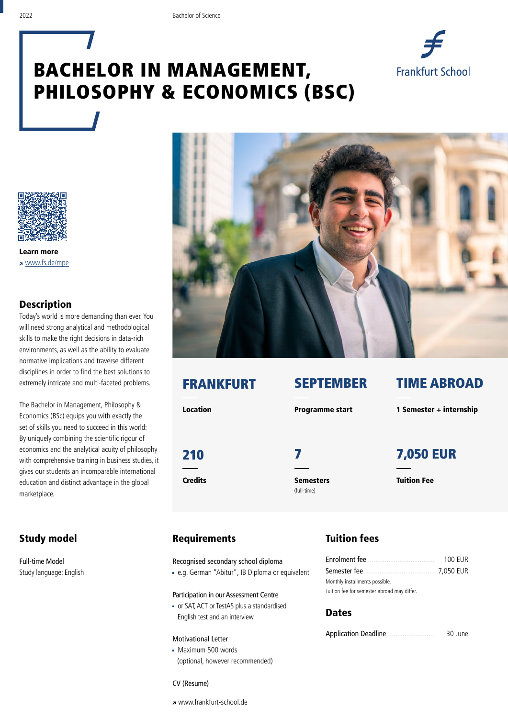# BACHELOR IN MANAGEMENT, PHILOSOPHY & ECONOMICS (BSC)





Learn more www.fs.de/mpe

#### Description

Today's world is more demanding than ever. You will need strong analytical and methodological skills to make the right decisions in data-rich environments, as well as the ability to evaluate normative implications and traverse different disciplines in order to find the best solutions to extremely intricate and multi-faceted problems.

The Bachelor in Management, Philosophy & Economics (BSc) equips you with exactly the set of skills you need to succeed in this world: By uniquely combining the scientific rigour of economics and the analytical acuity of philosophy with comprehensive training in business studies, it gives our students an incomparable international education and distinct advantage in the global marketplace.

#### Study model

Full-time Model Study language: English



Credits **Semesters** 

(full-time)

### FRANKFURT SEPTEMBER TIME ABROAD

Location **Programme start** 1 Semester + internship

## 210 7 7,050 EUR

Tuition Fee

#### Requirements

Recognised secondary school diploma

e.g. German "Abitur", IB Diploma or equivalent

Participation in our Assessment Centre

 or SAT, ACT or TestAS plus a standardised English test and an interview

#### Motivational Letter

Maximum 500 words (optional, however recommended)

#### Tuition fees

|                                             | 100 FUR |  |
|---------------------------------------------|---------|--|
|                                             |         |  |
| Monthly installments possible.              |         |  |
| Tuition fee for semester abroad may differ. |         |  |

#### **Dates**

Application Deadline ......................... 30 June

CV (Resume)

www.frankfurt-school.de